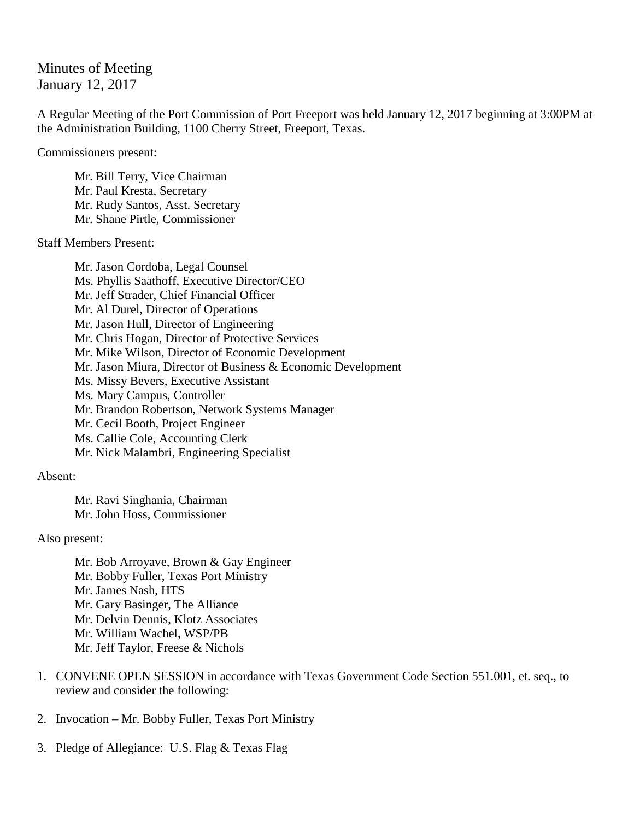## Minutes of Meeting January 12, 2017

A Regular Meeting of the Port Commission of Port Freeport was held January 12, 2017 beginning at 3:00PM at the Administration Building, 1100 Cherry Street, Freeport, Texas.

Commissioners present:

Mr. Bill Terry, Vice Chairman Mr. Paul Kresta, Secretary Mr. Rudy Santos, Asst. Secretary Mr. Shane Pirtle, Commissioner

Staff Members Present:

Mr. Jason Cordoba, Legal Counsel Ms. Phyllis Saathoff, Executive Director/CEO Mr. Jeff Strader, Chief Financial Officer Mr. Al Durel, Director of Operations Mr. Jason Hull, Director of Engineering Mr. Chris Hogan, Director of Protective Services Mr. Mike Wilson, Director of Economic Development Mr. Jason Miura, Director of Business & Economic Development Ms. Missy Bevers, Executive Assistant Ms. Mary Campus, Controller Mr. Brandon Robertson, Network Systems Manager Mr. Cecil Booth, Project Engineer Ms. Callie Cole, Accounting Clerk Mr. Nick Malambri, Engineering Specialist

## Absent:

Mr. Ravi Singhania, Chairman Mr. John Hoss, Commissioner

Also present:

Mr. Bob Arroyave, Brown & Gay Engineer Mr. Bobby Fuller, Texas Port Ministry Mr. James Nash, HTS Mr. Gary Basinger, The Alliance Mr. Delvin Dennis, Klotz Associates Mr. William Wachel, WSP/PB Mr. Jeff Taylor, Freese & Nichols

- 1. CONVENE OPEN SESSION in accordance with Texas Government Code Section 551.001, et. seq., to review and consider the following:
- 2. Invocation Mr. Bobby Fuller, Texas Port Ministry
- 3. Pledge of Allegiance: U.S. Flag & Texas Flag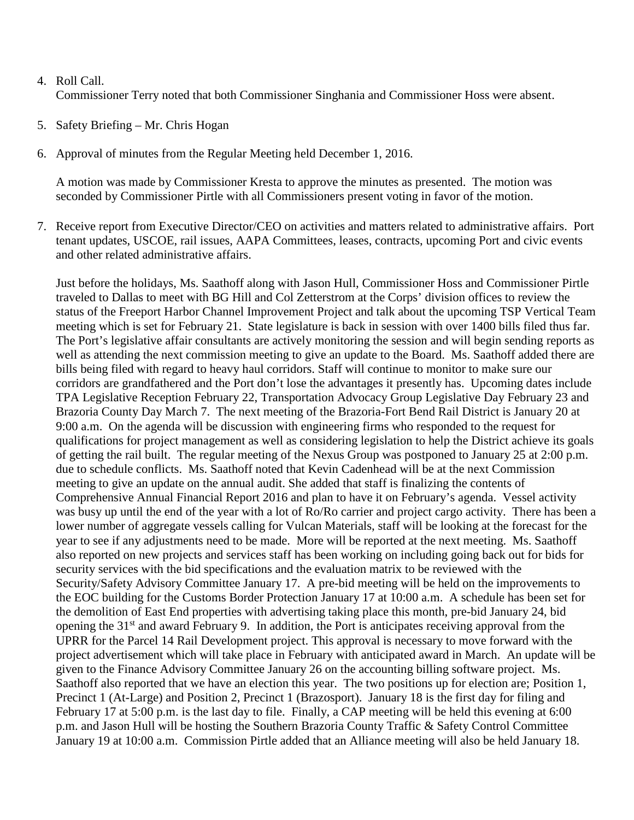- 4. Roll Call. Commissioner Terry noted that both Commissioner Singhania and Commissioner Hoss were absent.
- 5. Safety Briefing Mr. Chris Hogan
- 6. Approval of minutes from the Regular Meeting held December 1, 2016.

A motion was made by Commissioner Kresta to approve the minutes as presented. The motion was seconded by Commissioner Pirtle with all Commissioners present voting in favor of the motion.

7. Receive report from Executive Director/CEO on activities and matters related to administrative affairs. Port tenant updates, USCOE, rail issues, AAPA Committees, leases, contracts, upcoming Port and civic events and other related administrative affairs.

Just before the holidays, Ms. Saathoff along with Jason Hull, Commissioner Hoss and Commissioner Pirtle traveled to Dallas to meet with BG Hill and Col Zetterstrom at the Corps' division offices to review the status of the Freeport Harbor Channel Improvement Project and talk about the upcoming TSP Vertical Team meeting which is set for February 21. State legislature is back in session with over 1400 bills filed thus far. The Port's legislative affair consultants are actively monitoring the session and will begin sending reports as well as attending the next commission meeting to give an update to the Board. Ms. Saathoff added there are bills being filed with regard to heavy haul corridors. Staff will continue to monitor to make sure our corridors are grandfathered and the Port don't lose the advantages it presently has. Upcoming dates include TPA Legislative Reception February 22, Transportation Advocacy Group Legislative Day February 23 and Brazoria County Day March 7. The next meeting of the Brazoria-Fort Bend Rail District is January 20 at 9:00 a.m. On the agenda will be discussion with engineering firms who responded to the request for qualifications for project management as well as considering legislation to help the District achieve its goals of getting the rail built. The regular meeting of the Nexus Group was postponed to January 25 at 2:00 p.m. due to schedule conflicts. Ms. Saathoff noted that Kevin Cadenhead will be at the next Commission meeting to give an update on the annual audit. She added that staff is finalizing the contents of Comprehensive Annual Financial Report 2016 and plan to have it on February's agenda. Vessel activity was busy up until the end of the year with a lot of Ro/Ro carrier and project cargo activity. There has been a lower number of aggregate vessels calling for Vulcan Materials, staff will be looking at the forecast for the year to see if any adjustments need to be made. More will be reported at the next meeting. Ms. Saathoff also reported on new projects and services staff has been working on including going back out for bids for security services with the bid specifications and the evaluation matrix to be reviewed with the Security/Safety Advisory Committee January 17. A pre-bid meeting will be held on the improvements to the EOC building for the Customs Border Protection January 17 at 10:00 a.m. A schedule has been set for the demolition of East End properties with advertising taking place this month, pre-bid January 24, bid opening the 31<sup>st</sup> and award February 9. In addition, the Port is anticipates receiving approval from the UPRR for the Parcel 14 Rail Development project. This approval is necessary to move forward with the project advertisement which will take place in February with anticipated award in March. An update will be given to the Finance Advisory Committee January 26 on the accounting billing software project. Ms. Saathoff also reported that we have an election this year. The two positions up for election are; Position 1, Precinct 1 (At-Large) and Position 2, Precinct 1 (Brazosport). January 18 is the first day for filing and February 17 at 5:00 p.m. is the last day to file. Finally, a CAP meeting will be held this evening at 6:00 p.m. and Jason Hull will be hosting the Southern Brazoria County Traffic & Safety Control Committee January 19 at 10:00 a.m. Commission Pirtle added that an Alliance meeting will also be held January 18.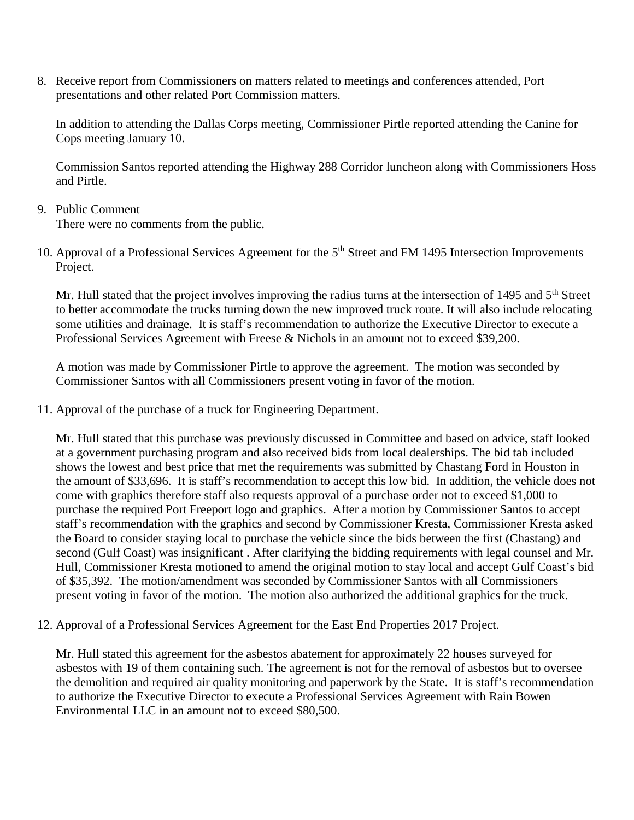8. Receive report from Commissioners on matters related to meetings and conferences attended, Port presentations and other related Port Commission matters.

In addition to attending the Dallas Corps meeting, Commissioner Pirtle reported attending the Canine for Cops meeting January 10.

Commission Santos reported attending the Highway 288 Corridor luncheon along with Commissioners Hoss and Pirtle.

9. Public Comment

There were no comments from the public.

10. Approval of a Professional Services Agreement for the 5<sup>th</sup> Street and FM 1495 Intersection Improvements Project.

Mr. Hull stated that the project involves improving the radius turns at the intersection of 1495 and 5<sup>th</sup> Street to better accommodate the trucks turning down the new improved truck route. It will also include relocating some utilities and drainage. It is staff's recommendation to authorize the Executive Director to execute a Professional Services Agreement with Freese & Nichols in an amount not to exceed \$39,200.

A motion was made by Commissioner Pirtle to approve the agreement. The motion was seconded by Commissioner Santos with all Commissioners present voting in favor of the motion.

11. Approval of the purchase of a truck for Engineering Department.

Mr. Hull stated that this purchase was previously discussed in Committee and based on advice, staff looked at a government purchasing program and also received bids from local dealerships. The bid tab included shows the lowest and best price that met the requirements was submitted by Chastang Ford in Houston in the amount of \$33,696. It is staff's recommendation to accept this low bid. In addition, the vehicle does not come with graphics therefore staff also requests approval of a purchase order not to exceed \$1,000 to purchase the required Port Freeport logo and graphics. After a motion by Commissioner Santos to accept staff's recommendation with the graphics and second by Commissioner Kresta, Commissioner Kresta asked the Board to consider staying local to purchase the vehicle since the bids between the first (Chastang) and second (Gulf Coast) was insignificant . After clarifying the bidding requirements with legal counsel and Mr. Hull, Commissioner Kresta motioned to amend the original motion to stay local and accept Gulf Coast's bid of \$35,392. The motion/amendment was seconded by Commissioner Santos with all Commissioners present voting in favor of the motion. The motion also authorized the additional graphics for the truck.

12. Approval of a Professional Services Agreement for the East End Properties 2017 Project.

Mr. Hull stated this agreement for the asbestos abatement for approximately 22 houses surveyed for asbestos with 19 of them containing such. The agreement is not for the removal of asbestos but to oversee the demolition and required air quality monitoring and paperwork by the State. It is staff's recommendation to authorize the Executive Director to execute a Professional Services Agreement with Rain Bowen Environmental LLC in an amount not to exceed \$80,500.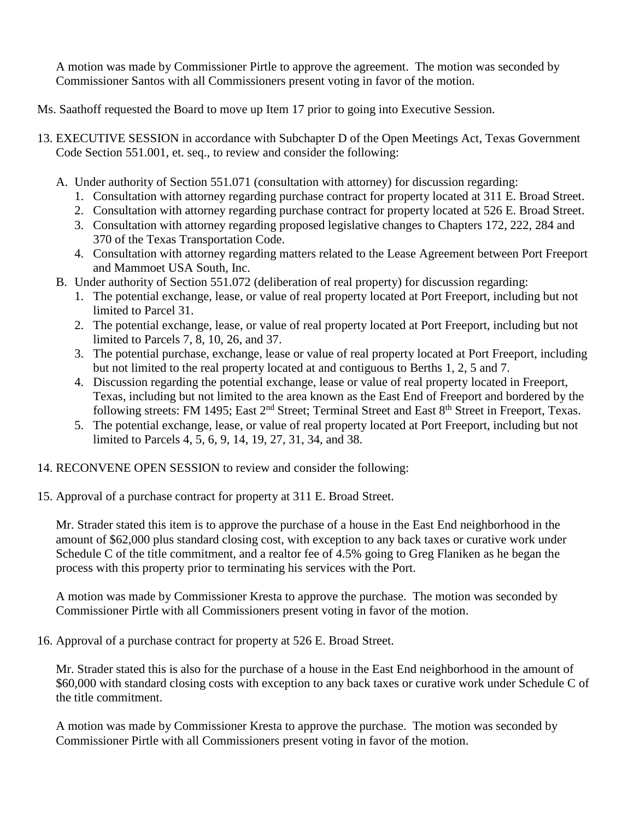A motion was made by Commissioner Pirtle to approve the agreement. The motion was seconded by Commissioner Santos with all Commissioners present voting in favor of the motion.

- Ms. Saathoff requested the Board to move up Item 17 prior to going into Executive Session.
- 13. EXECUTIVE SESSION in accordance with Subchapter D of the Open Meetings Act, Texas Government Code Section 551.001, et. seq., to review and consider the following:
	- A. Under authority of Section 551.071 (consultation with attorney) for discussion regarding:
		- 1. Consultation with attorney regarding purchase contract for property located at 311 E. Broad Street.
		- 2. Consultation with attorney regarding purchase contract for property located at 526 E. Broad Street.
		- 3. Consultation with attorney regarding proposed legislative changes to Chapters 172, 222, 284 and 370 of the Texas Transportation Code.
		- 4. Consultation with attorney regarding matters related to the Lease Agreement between Port Freeport and Mammoet USA South, Inc.
	- B. Under authority of Section 551.072 (deliberation of real property) for discussion regarding:
		- 1. The potential exchange, lease, or value of real property located at Port Freeport, including but not limited to Parcel 31.
		- 2. The potential exchange, lease, or value of real property located at Port Freeport, including but not limited to Parcels 7, 8, 10, 26, and 37.
		- 3. The potential purchase, exchange, lease or value of real property located at Port Freeport, including but not limited to the real property located at and contiguous to Berths 1, 2, 5 and 7.
		- 4. Discussion regarding the potential exchange, lease or value of real property located in Freeport, Texas, including but not limited to the area known as the East End of Freeport and bordered by the following streets: FM 1495; East 2<sup>nd</sup> Street; Terminal Street and East 8<sup>th</sup> Street in Freeport, Texas.
		- 5. The potential exchange, lease, or value of real property located at Port Freeport, including but not limited to Parcels 4, 5, 6, 9, 14, 19, 27, 31, 34, and 38.
- 14. RECONVENE OPEN SESSION to review and consider the following:
- 15. Approval of a purchase contract for property at 311 E. Broad Street.

Mr. Strader stated this item is to approve the purchase of a house in the East End neighborhood in the amount of \$62,000 plus standard closing cost, with exception to any back taxes or curative work under Schedule C of the title commitment, and a realtor fee of 4.5% going to Greg Flaniken as he began the process with this property prior to terminating his services with the Port.

A motion was made by Commissioner Kresta to approve the purchase. The motion was seconded by Commissioner Pirtle with all Commissioners present voting in favor of the motion.

16. Approval of a purchase contract for property at 526 E. Broad Street.

Mr. Strader stated this is also for the purchase of a house in the East End neighborhood in the amount of \$60,000 with standard closing costs with exception to any back taxes or curative work under Schedule C of the title commitment.

A motion was made by Commissioner Kresta to approve the purchase. The motion was seconded by Commissioner Pirtle with all Commissioners present voting in favor of the motion.